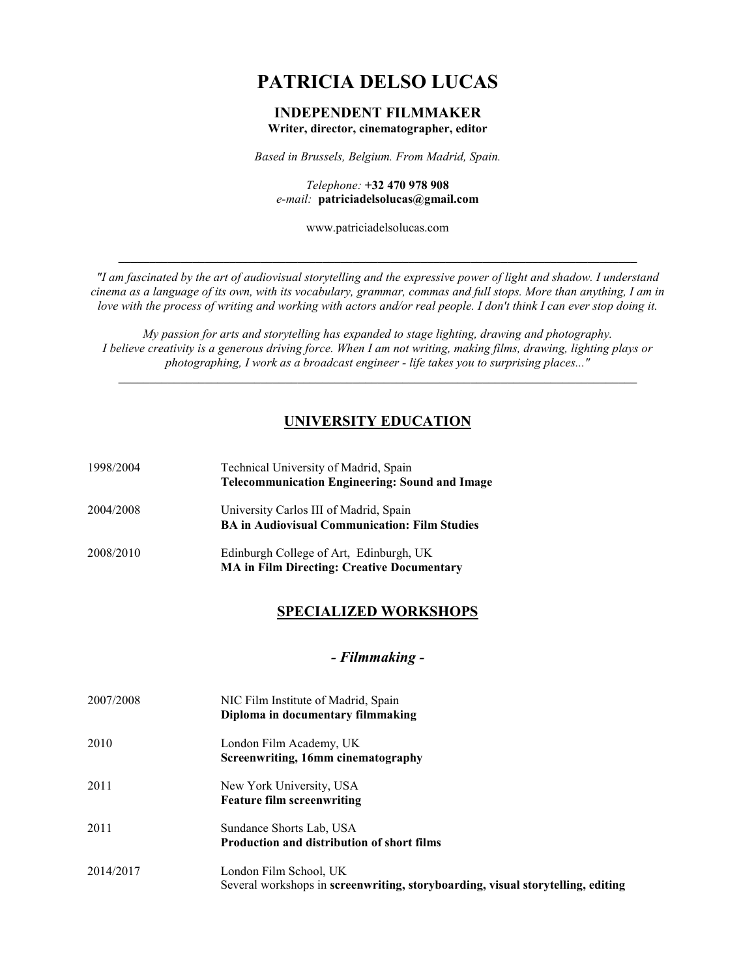# **PATRICIA DELSO LUCAS**

#### **INDEPENDENT FILMMAKER Writer, director, cinematographer, editor**

*Based in Brussels, Belgium. From Madrid, Spain.*

*Telephone:* **+32 470 978 908** *e-mail:* **patriciadelsolucas@gmail.com**

www.patriciadelsolucas.com

**\_\_\_\_\_\_\_\_\_\_\_\_\_\_\_\_\_\_\_\_\_\_\_\_\_\_\_\_\_\_\_\_\_\_\_\_\_\_\_\_\_\_\_\_\_\_\_\_\_\_\_\_\_\_\_\_\_\_\_\_\_\_\_\_\_\_\_\_\_\_\_\_\_\_\_\_\_\_\_\_\_\_\_\_**

*"I am fascinated by the art of audiovisual storytelling and the expressive power of light and shadow. I understand cinema as a language of its own, with its vocabulary, grammar, commas and full stops. More than anything, I am in love with the process of writing and working with actors and/or real people. I don't think I can ever stop doing it.*

*My passion for arts and storytelling has expanded to stage lighting, drawing and photography. I believe creativity is a generous driving force. When I am not writing, making films, drawing, lighting plays or photographing, I work as a broadcast engineer - life takes you to surprising places..."*

**\_\_\_\_\_\_\_\_\_\_\_\_\_\_\_\_\_\_\_\_\_\_\_\_\_\_\_\_\_\_\_\_\_\_\_\_\_\_\_\_\_\_\_\_\_\_\_\_\_\_\_\_\_\_\_\_\_\_\_\_\_\_\_\_\_\_\_\_\_\_\_\_\_\_\_\_\_\_\_\_\_\_\_\_**

### **UNIVERSITY EDUCATION**

| 1998/2004 | Technical University of Madrid, Spain<br><b>Telecommunication Engineering: Sound and Image</b> |
|-----------|------------------------------------------------------------------------------------------------|
| 2004/2008 | University Carlos III of Madrid, Spain<br><b>BA in Audiovisual Communication: Film Studies</b> |
| 2008/2010 | Edinburgh College of Art, Edinburgh, UK<br><b>MA in Film Directing: Creative Documentary</b>   |

### **SPECIALIZED WORKSHOPS**

#### *- Filmmaking -*

| 2007/2008 | NIC Film Institute of Madrid, Spain<br>Diploma in documentary filmmaking                                  |
|-----------|-----------------------------------------------------------------------------------------------------------|
| 2010      | London Film Academy, UK<br>Screenwriting, 16mm cinematography                                             |
| 2011      | New York University, USA<br><b>Feature film screenwriting</b>                                             |
| 2011      | Sundance Shorts Lab, USA<br><b>Production and distribution of short films</b>                             |
| 2014/2017 | London Film School, UK<br>Several workshops in screenwriting, storyboarding, visual storytelling, editing |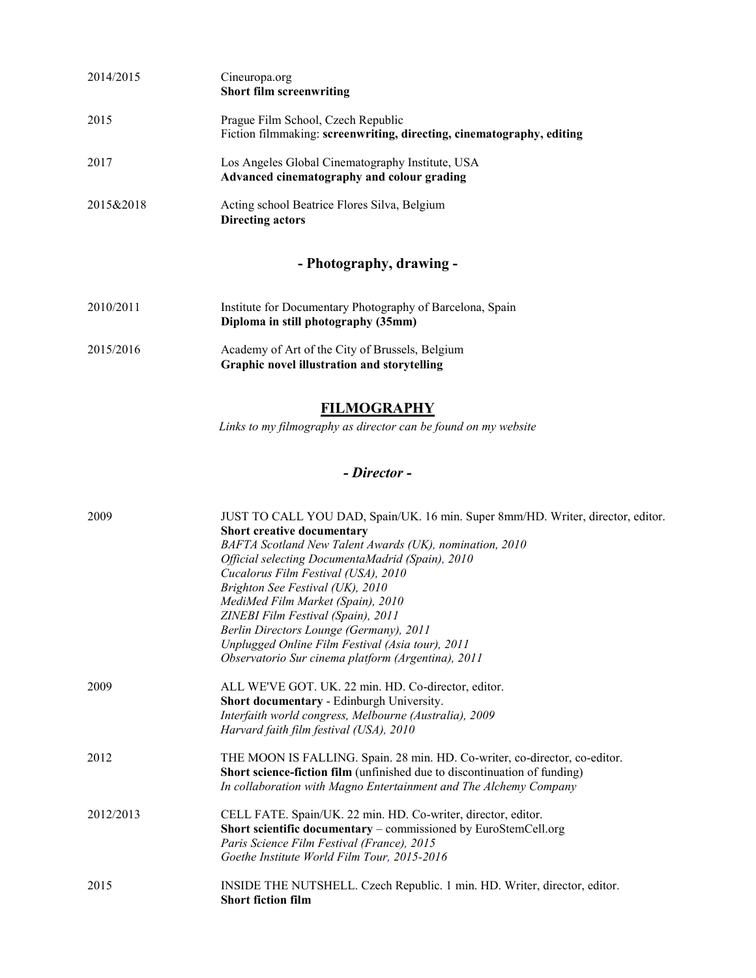| 2014/2015 | Cineuropa.org<br><b>Short film screenwriting</b>                                                            |
|-----------|-------------------------------------------------------------------------------------------------------------|
| 2015      | Prague Film School, Czech Republic<br>Fiction filmmaking: screenwriting, directing, cinematography, editing |
| 2017      | Los Angeles Global Cinematography Institute, USA<br>Advanced cinematography and colour grading              |
| 2015&2018 | Acting school Beatrice Flores Silva, Belgium<br>Directing actors                                            |

# **- Photography, drawing -**

| Institute for Documentary Photography of Barcelona, Spain |
|-----------------------------------------------------------|
| Diploma in still photography (35mm)                       |
|                                                           |

2015/2016 Academy of Art of the City of Brussels, Belgium **Graphic novel illustration and storytelling**

### **FILMOGRAPHY**

*Links to my filmography as director can be found on my website*

# *- Director -*

| 2009      | JUST TO CALL YOU DAD, Spain/UK. 16 min. Super 8mm/HD. Writer, director, editor.<br>Short creative documentary<br>BAFTA Scotland New Talent Awards (UK), nomination, 2010<br>Official selecting DocumentaMadrid (Spain), 2010<br>Cucalorus Film Festival (USA), 2010<br>Brighton See Festival (UK), 2010<br>MediMed Film Market (Spain), 2010<br>ZINEBI Film Festival (Spain), 2011<br>Berlin Directors Lounge (Germany), 2011 |
|-----------|-------------------------------------------------------------------------------------------------------------------------------------------------------------------------------------------------------------------------------------------------------------------------------------------------------------------------------------------------------------------------------------------------------------------------------|
|           | Unplugged Online Film Festival (Asia tour), 2011<br>Observatorio Sur cinema platform (Argentina), 2011                                                                                                                                                                                                                                                                                                                        |
| 2009      | ALL WE'VE GOT. UK. 22 min. HD. Co-director, editor.<br>Short documentary - Edinburgh University.<br>Interfaith world congress, Melbourne (Australia), 2009<br>Harvard faith film festival (USA), 2010                                                                                                                                                                                                                         |
| 2012      | THE MOON IS FALLING. Spain. 28 min. HD. Co-writer, co-director, co-editor.<br>Short science-fiction film (unfinished due to discontinuation of funding)<br>In collaboration with Magno Entertainment and The Alchemy Company                                                                                                                                                                                                  |
| 2012/2013 | CELL FATE. Spain/UK. 22 min. HD. Co-writer, director, editor.<br>Short scientific documentary – commissioned by EuroStemCell.org<br>Paris Science Film Festival (France), 2015<br>Goethe Institute World Film Tour, 2015-2016                                                                                                                                                                                                 |
| 2015      | INSIDE THE NUTSHELL. Czech Republic. 1 min. HD. Writer, director, editor.<br><b>Short fiction film</b>                                                                                                                                                                                                                                                                                                                        |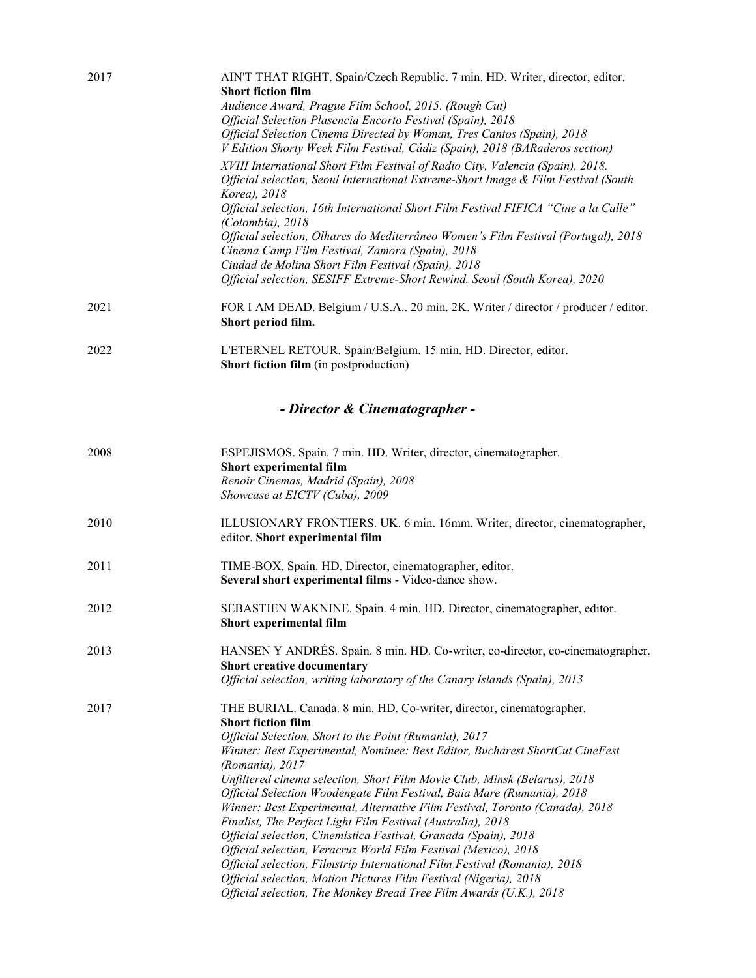| 2017 | AIN'T THAT RIGHT. Spain/Czech Republic. 7 min. HD. Writer, director, editor.<br><b>Short fiction film</b>                                      |
|------|------------------------------------------------------------------------------------------------------------------------------------------------|
|      | Audience Award, Prague Film School, 2015. (Rough Cut)                                                                                          |
|      | Official Selection Plasencia Encorto Festival (Spain), 2018                                                                                    |
|      | Official Selection Cinema Directed by Woman, Tres Cantos (Spain), 2018                                                                         |
|      | V Edition Shorty Week Film Festival, Cádiz (Spain), 2018 (BARaderos section)                                                                   |
|      | XVIII International Short Film Festival of Radio City, Valencia (Spain), 2018.                                                                 |
|      | Official selection, Seoul International Extreme-Short Image & Film Festival (South                                                             |
|      | Korea), 2018                                                                                                                                   |
|      | Official selection, 16th International Short Film Festival FIFICA "Cine a la Calle"                                                            |
|      | (Colombia), 2018                                                                                                                               |
|      | Official selection, Olhares do Mediterrâneo Women's Film Festival (Portugal), 2018<br>Cinema Camp Film Festival, Zamora (Spain), 2018          |
|      | Ciudad de Molina Short Film Festival (Spain), 2018                                                                                             |
|      | Official selection, SESIFF Extreme-Short Rewind, Seoul (South Korea), 2020                                                                     |
|      |                                                                                                                                                |
| 2021 | FOR I AM DEAD. Belgium / U.S.A 20 min. 2K. Writer / director / producer / editor.<br>Short period film.                                        |
|      |                                                                                                                                                |
| 2022 | L'ETERNEL RETOUR. Spain/Belgium. 15 min. HD. Director, editor.                                                                                 |
|      | <b>Short fiction film</b> (in postproduction)                                                                                                  |
|      |                                                                                                                                                |
|      | - Director & Cinematographer -                                                                                                                 |
| 2008 | ESPEJISMOS. Spain. 7 min. HD. Writer, director, cinematographer.                                                                               |
|      | Short experimental film                                                                                                                        |
|      | Renoir Cinemas, Madrid (Spain), 2008                                                                                                           |
|      | Showcase at EICTV (Cuba), 2009                                                                                                                 |
| 2010 | ILLUSIONARY FRONTIERS. UK. 6 min. 16mm. Writer, director, cinematographer,                                                                     |
|      | editor. Short experimental film                                                                                                                |
| 2011 | TIME-BOX. Spain. HD. Director, cinematographer, editor.                                                                                        |
|      | Several short experimental films - Video-dance show.                                                                                           |
| 2012 | SEBASTIEN WAKNINE. Spain. 4 min. HD. Director, cinematographer, editor.                                                                        |
|      | Short experimental film                                                                                                                        |
| 2013 | HANSEN Y ANDRÉS. Spain. 8 min. HD. Co-writer, co-director, co-cinematographer.                                                                 |
|      | Short creative documentary                                                                                                                     |
|      | Official selection, writing laboratory of the Canary Islands (Spain), 2013                                                                     |
| 2017 | THE BURIAL. Canada. 8 min. HD. Co-writer, director, cinematographer.                                                                           |
|      | <b>Short fiction film</b>                                                                                                                      |
|      | Official Selection, Short to the Point (Rumania), 2017                                                                                         |
|      | Winner: Best Experimental, Nominee: Best Editor, Bucharest ShortCut CineFest                                                                   |
|      | (Romania), 2017<br>Unfiltered cinema selection, Short Film Movie Club, Minsk (Belarus), 2018                                                   |
|      | Official Selection Woodengate Film Festival, Baia Mare (Rumania), 2018                                                                         |
|      | Winner: Best Experimental, Alternative Film Festival, Toronto (Canada), 2018                                                                   |
|      | Finalist, The Perfect Light Film Festival (Australia), 2018                                                                                    |
|      | Official selection, Cinemística Festival, Granada (Spain), 2018                                                                                |
|      | Official selection, Veracruz World Film Festival (Mexico), 2018                                                                                |
|      | Official selection, Filmstrip International Film Festival (Romania), 2018<br>Official selection, Motion Pictures Film Festival (Nigeria), 2018 |
|      | Official selection, The Monkey Bread Tree Film Awards (U.K.), 2018                                                                             |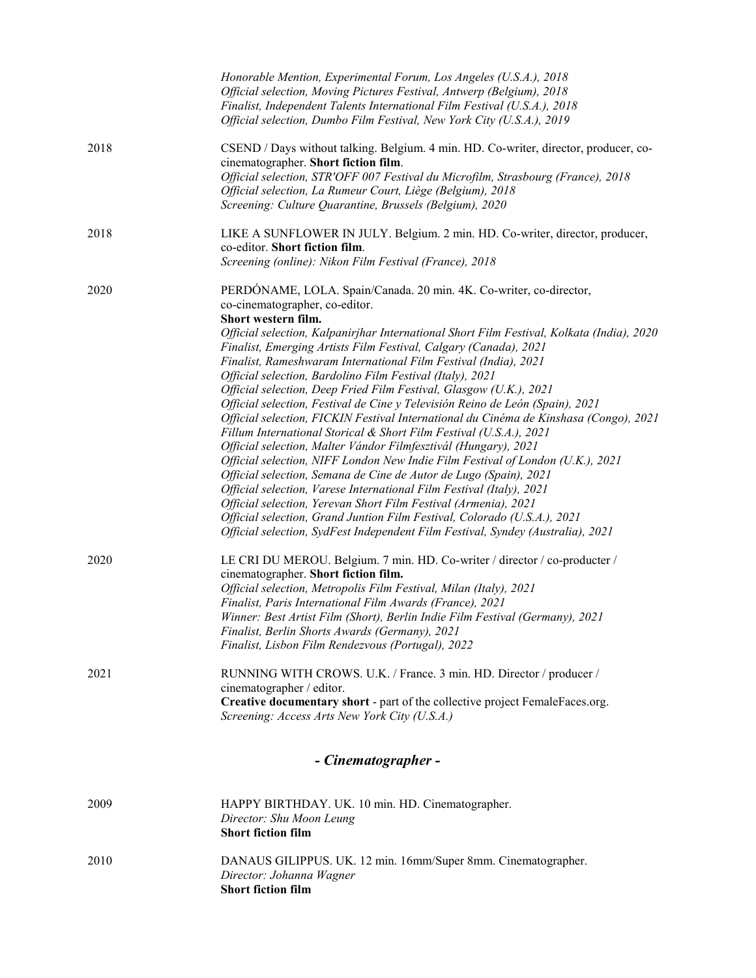|      | Honorable Mention, Experimental Forum, Los Angeles (U.S.A.), 2018<br>Official selection, Moving Pictures Festival, Antwerp (Belgium), 2018                                                                |  |  |
|------|-----------------------------------------------------------------------------------------------------------------------------------------------------------------------------------------------------------|--|--|
|      | Finalist, Independent Talents International Film Festival (U.S.A.), 2018<br>Official selection, Dumbo Film Festival, New York City (U.S.A.), 2019                                                         |  |  |
| 2018 | CSEND / Days without talking. Belgium. 4 min. HD. Co-writer, director, producer, co-<br>cinematographer. Short fiction film.                                                                              |  |  |
|      | Official selection, STR'OFF 007 Festival du Microfilm, Strasbourg (France), 2018<br>Official selection, La Rumeur Court, Liège (Belgium), 2018<br>Screening: Culture Quarantine, Brussels (Belgium), 2020 |  |  |
| 2018 | LIKE A SUNFLOWER IN JULY. Belgium. 2 min. HD. Co-writer, director, producer,<br>co-editor. Short fiction film.<br>Screening (online): Nikon Film Festival (France), 2018                                  |  |  |
| 2020 | PERDÓNAME, LOLA. Spain/Canada. 20 min. 4K. Co-writer, co-director,<br>co-cinematographer, co-editor.                                                                                                      |  |  |
|      | Short western film.<br>Official selection, Kalpanirjhar International Short Film Festival, Kolkata (India), 2020<br>Finalist, Emerging Artists Film Festival, Calgary (Canada), 2021                      |  |  |
|      | Finalist, Rameshwaram International Film Festival (India), 2021                                                                                                                                           |  |  |
|      | Official selection, Bardolino Film Festival (Italy), 2021<br>Official selection, Deep Fried Film Festival, Glasgow (U.K.), 2021                                                                           |  |  |
|      | Official selection, Festival de Cine y Televisión Reino de León (Spain), 2021                                                                                                                             |  |  |
|      | Official selection, FICKIN Festival International du Cinéma de Kinshasa (Congo), 2021                                                                                                                     |  |  |
|      | Fillum International Storical & Short Film Festival (U.S.A.), 2021                                                                                                                                        |  |  |
|      | Official selection, Malter Vándor Filmfesztivál (Hungary), 2021                                                                                                                                           |  |  |
|      | Official selection, NIFF London New Indie Film Festival of London (U.K.), 2021<br>Official selection, Semana de Cine de Autor de Lugo (Spain), 2021                                                       |  |  |
|      | Official selection, Varese International Film Festival (Italy), 2021                                                                                                                                      |  |  |
|      | Official selection, Yerevan Short Film Festival (Armenia), 2021                                                                                                                                           |  |  |
|      | Official selection, Grand Juntion Film Festival, Colorado (U.S.A.), 2021                                                                                                                                  |  |  |
|      | Official selection, SydFest Independent Film Festival, Syndey (Australia), 2021                                                                                                                           |  |  |
| 2020 | LE CRI DU MEROU. Belgium. 7 min. HD. Co-writer / director / co-producter /<br>cinematographer. Short fiction film.                                                                                        |  |  |
|      | Official selection, Metropolis Film Festival, Milan (Italy), 2021                                                                                                                                         |  |  |
|      | Finalist, Paris International Film Awards (France), 2021<br>Winner: Best Artist Film (Short), Berlin Indie Film Festival (Germany), 2021                                                                  |  |  |
|      | Finalist, Berlin Shorts Awards (Germany), 2021                                                                                                                                                            |  |  |
|      | Finalist, Lisbon Film Rendezvous (Portugal), 2022                                                                                                                                                         |  |  |
| 2021 | RUNNING WITH CROWS. U.K. / France. 3 min. HD. Director / producer /                                                                                                                                       |  |  |
|      | cinematographer / editor.                                                                                                                                                                                 |  |  |
|      | Creative documentary short - part of the collective project FemaleFaces.org.<br>Screening: Access Arts New York City (U.S.A.)                                                                             |  |  |
|      | - Cinematographer -                                                                                                                                                                                       |  |  |
|      |                                                                                                                                                                                                           |  |  |
| 2009 | HAPPY BIRTHDAY. UK. 10 min. HD. Cinematographer.<br>Director: Shu Moon Leung                                                                                                                              |  |  |
|      | <b>Short fiction film</b>                                                                                                                                                                                 |  |  |
| 2010 | DANAUS GILIPPUS. UK. 12 min. 16mm/Super 8mm. Cinematographer.<br>Director: Johanna Wagner<br><b>Short fiction film</b>                                                                                    |  |  |
|      |                                                                                                                                                                                                           |  |  |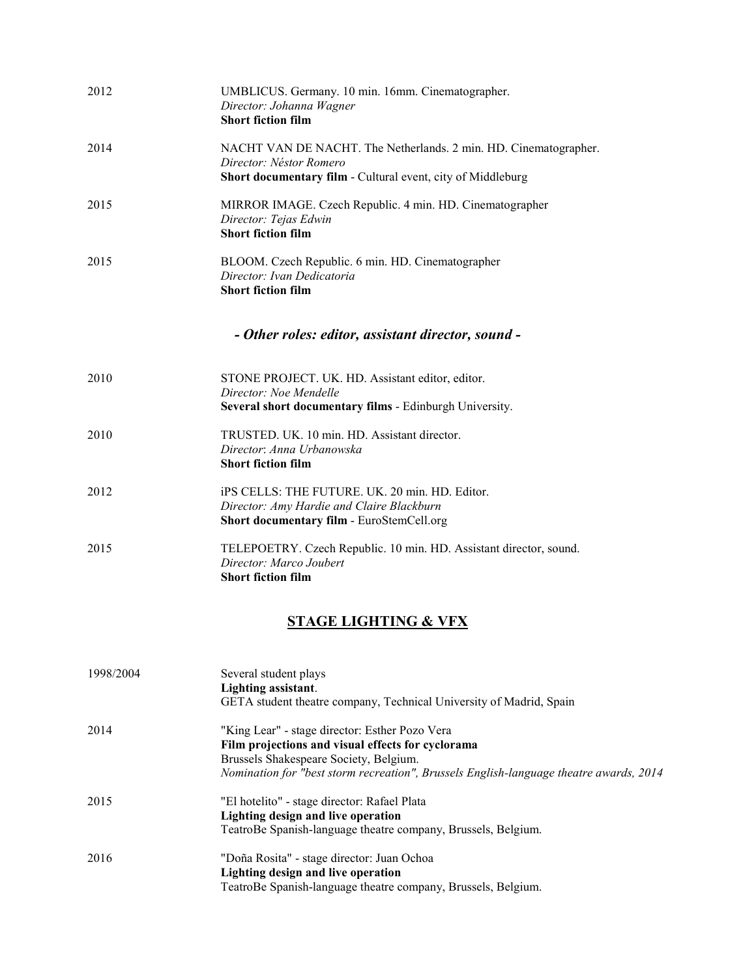| 2012 | UMBLICUS. Germany. 10 min. 16mm. Cinematographer.<br>Director: Johanna Wagner<br><b>Short fiction film</b>                                                 |
|------|------------------------------------------------------------------------------------------------------------------------------------------------------------|
| 2014 | NACHT VAN DE NACHT. The Netherlands. 2 min. HD. Cinematographer.<br>Director: Néstor Romero<br>Short documentary film - Cultural event, city of Middleburg |
| 2015 | MIRROR IMAGE. Czech Republic. 4 min. HD. Cinematographer<br>Director: Tejas Edwin<br><b>Short fiction film</b>                                             |
| 2015 | BLOOM. Czech Republic. 6 min. HD. Cinematographer<br>Director: Ivan Dedicatoria<br><b>Short fiction film</b>                                               |
|      | - Other roles: editor, assistant director, sound -                                                                                                         |
| 2010 | STONE PROJECT. UK. HD. Assistant editor, editor.<br>Director: Noe Mendelle<br>Several short documentary films - Edinburgh University.                      |
| 2010 | TRUSTED. UK. 10 min. HD. Assistant director.<br>Director: Anna Urbanowska<br><b>Short fiction film</b>                                                     |
| 2012 | iPS CELLS: THE FUTURE. UK. 20 min. HD. Editor.<br>Director: Amy Hardie and Claire Blackburn<br>Short documentary film - EuroStemCell.org                   |
| 2015 | TELEPOETRY. Czech Republic. 10 min. HD. Assistant director, sound.<br>Director: Marco Joubert<br><b>Short fiction film</b>                                 |

# **STAGE LIGHTING & VFX**

| 1998/2004 | Several student plays<br>Lighting assistant.<br>GETA student theatre company, Technical University of Madrid, Spain |
|-----------|---------------------------------------------------------------------------------------------------------------------|
| 2014      | "King Lear" - stage director: Esther Pozo Vera                                                                      |
|           | Film projections and visual effects for cyclorama                                                                   |
|           | Brussels Shakespeare Society, Belgium.                                                                              |
|           | Nomination for "best storm recreation", Brussels English-language theatre awards, 2014                              |
| 2015      | "El hotelito" - stage director: Rafael Plata                                                                        |
|           | Lighting design and live operation                                                                                  |
|           | TeatroBe Spanish-language theatre company, Brussels, Belgium.                                                       |
| 2016      | "Doña Rosita" - stage director: Juan Ochoa                                                                          |
|           | <b>Lighting design and live operation</b>                                                                           |
|           | TeatroBe Spanish-language theatre company, Brussels, Belgium.                                                       |